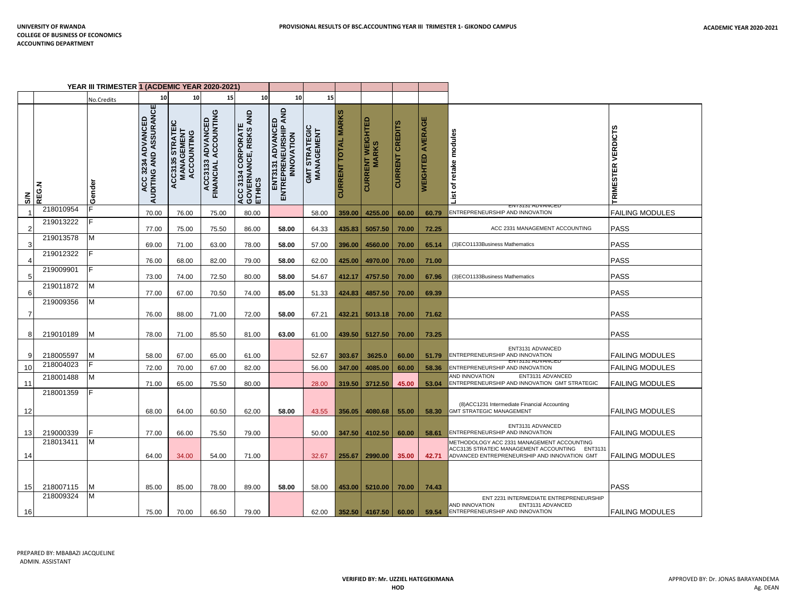| YEAR III TRIMESTER 1 (ACDEMIC YEAR 2020-2021) |           |            |                                                     |                                                        |                                              |                                                                |                                                        |                                     |                            |                                   |                 |                         |                                                                                                                                                 |                                     |
|-----------------------------------------------|-----------|------------|-----------------------------------------------------|--------------------------------------------------------|----------------------------------------------|----------------------------------------------------------------|--------------------------------------------------------|-------------------------------------|----------------------------|-----------------------------------|-----------------|-------------------------|-------------------------------------------------------------------------------------------------------------------------------------------------|-------------------------------------|
|                                               |           | No.Credits | 10                                                  | 10                                                     | 15                                           | 10                                                             | 10                                                     | 15                                  |                            |                                   |                 |                         |                                                                                                                                                 |                                     |
| $\mathbf{S}$                                  | REG.N     | Gender     | <b>ACC 3234 ADVANCED<br/>AUDITING AND ASSURANCE</b> | CC3135 STRATEIC<br>MANAGEMENT<br>ACCOUNTING<br>ACC3135 | ပ<br>ACC3133 ADVANCED<br>FINANCIAL ACCOUNTIN | <b>ACC 3134 CORPORATE<br/>GOVERNANCE, RISKS AND<br/>ETHICS</b> | ENT3131 ADVANCED<br>ENTREPRENEURSHIP AND<br>INNOVATION | <b>GMT STRATEGIC<br/>MANAGEMENT</b> | <b>CURRENT TOTAL MARKS</b> | <b>CURRENT WEIGHTED<br/>MARKS</b> | CURRENT CREDITS | <b>WEIGHTED AVERAGE</b> | retake modules<br>৳<br>List<br><b>EN13131 ADVANCEL</b>                                                                                          | <b>VERDICTS</b><br><b>TRIMESTER</b> |
|                                               | 218010954 |            | 70.00                                               | 76.00                                                  | 75.00                                        | 80.00                                                          |                                                        | 58.00                               | 359.00                     | 4255.00                           | 60.00           | 60.79                   | ENTREPRENEURSHIP AND INNOVATION                                                                                                                 | <b>FAILING MODULES</b>              |
| 2                                             | 219013222 |            | 77.00                                               | 75.00                                                  | 75.50                                        | 86.00                                                          | 58.00                                                  | 64.33                               | 435.83                     | 5057.50                           | 70.00           | 72.25                   | ACC 2331 MANAGEMENT ACCOUNTING                                                                                                                  | <b>PASS</b>                         |
| 3                                             | 219013578 | M          | 69.00                                               | 71.00                                                  | 63.00                                        | 78.00                                                          | 58.00                                                  | 57.00                               | 396.00                     | 4560.00                           | 70.00           | 65.14                   | (3)ECO1133Business Mathematics                                                                                                                  | <b>PASS</b>                         |
| 4                                             | 219012322 | IF         | 76.00                                               | 68.00                                                  | 82.00                                        | 79.00                                                          | 58.00                                                  | 62.00                               | 425.00                     | 4970.00                           | 70.00           | 71.00                   |                                                                                                                                                 | <b>PASS</b>                         |
| 5                                             | 219009901 | F          | 73.00                                               | 74.00                                                  | 72.50                                        | 80.00                                                          | 58.00                                                  | 54.67                               | 412.17                     | 4757.50                           | 70.00           | 67.96                   | (3)ECO1133Business Mathematics                                                                                                                  | <b>PASS</b>                         |
| 6                                             | 219011872 | M          | 77.00                                               | 67.00                                                  | 70.50                                        | 74.00                                                          | 85.00                                                  | 51.33                               | 424.83                     | 4857.50                           | 70.00           | 69.39                   |                                                                                                                                                 | <b>PASS</b>                         |
| 7                                             | 219009356 | M          | 76.00                                               | 88.00                                                  | 71.00                                        | 72.00                                                          | 58.00                                                  | 67.21                               | 432.21                     | 5013.18                           | 70.00           | 71.62                   |                                                                                                                                                 | <b>PASS</b>                         |
| 8                                             | 219010189 | M          | 78.00                                               | 71.00                                                  | 85.50                                        | 81.00                                                          | 63.00                                                  | 61.00                               | 439.50                     | 5127.50                           | 70.00           | 73.25                   |                                                                                                                                                 | <b>PASS</b>                         |
| 9                                             | 218005597 | ΙM         | 58.00                                               | 67.00                                                  | 65.00                                        | 61.00                                                          |                                                        | 52.67                               | 303.67                     | 3625.0                            | 60.00           | 51.79                   | ENT3131 ADVANCED<br>ENTREPRENEURSHIP AND INNOVATION                                                                                             | <b>FAILING MODULES</b>              |
| 10                                            | 218004023 |            | 72.00                                               | 70.00                                                  | 67.00                                        | 82.00                                                          |                                                        | 56.00                               | 347.00                     | 4085.00                           | 60.00           | 58.36                   | <b>EIVISISI ADVAIVUE</b><br>ENTREPRENEURSHIP AND INNOVATION                                                                                     | <b>FAILING MODULES</b>              |
| 11                                            | 218001488 | M          | 71.00                                               | 65.00                                                  | 75.50                                        | 80.00                                                          |                                                        | 28.00                               | 319.50                     | 3712.50                           | 45.00           | 53.04                   | AND INNOVATION<br>ENT3131 ADVANCED<br>ENTREPRENEURSHIP AND INNOVATION GMT STRATEGIC                                                             | <b>FAILING MODULES</b>              |
| 12                                            | 218001359 |            | 68.00                                               | 64.00                                                  | 60.50                                        | 62.00                                                          | 58.00                                                  | 43.55                               | 356.05                     | 4080.68                           | 55.00           | 58.30                   | (8) ACC1231 Intermediate Financial Accounting<br><b>GMT STRATEGIC MANAGEMENT</b>                                                                | <b>FAILING MODULES</b>              |
| 13                                            | 219000339 |            | 77.00                                               | 66.00                                                  | 75.50                                        | 79.00                                                          |                                                        | 50.00                               | 347.50                     | 4102.50                           | 60.00           | 58.61                   | ENT3131 ADVANCED<br>ENTREPRENEURSHIP AND INNOVATION                                                                                             | <b>FAILING MODULES</b>              |
| 14                                            | 218013411 | M          | 64.00                                               | 34.00                                                  | 54.00                                        | 71.00                                                          |                                                        | 32.67                               | 255.67                     | 2990.00                           | 35.00           | 42.71                   | METHODOLOGY ACC 2331 MANAGEMENT ACCOUNTING<br>ACC3135 STRATEIC MANAGEMENT ACCOUNTING<br>ENT3131<br>ADVANCED ENTREPRENEURSHIP AND INNOVATION GMT | <b>FAILING MODULES</b>              |
| 15                                            | 218007115 | M          | 85.00                                               | 85.00                                                  | 78.00                                        | 89.00                                                          | 58.00                                                  | 58.00                               | 453.00                     | 5210.00                           | 70.00           | 74.43                   |                                                                                                                                                 | <b>PASS</b>                         |
| 16                                            | 218009324 | M          | 75.00                                               | 70.00                                                  | 66.50                                        | 79.00                                                          |                                                        | 62.00                               |                            | 352.50 4167.50                    | 60.00           | 59.54                   | ENT 2231 INTERMEDIATE ENTREPRENEURSHIP<br>AND INNOVATION<br>ENT3131 ADVANCED<br>ENTREPRENEURSHIP AND INNOVATION                                 | <b>FAILING MODULES</b>              |